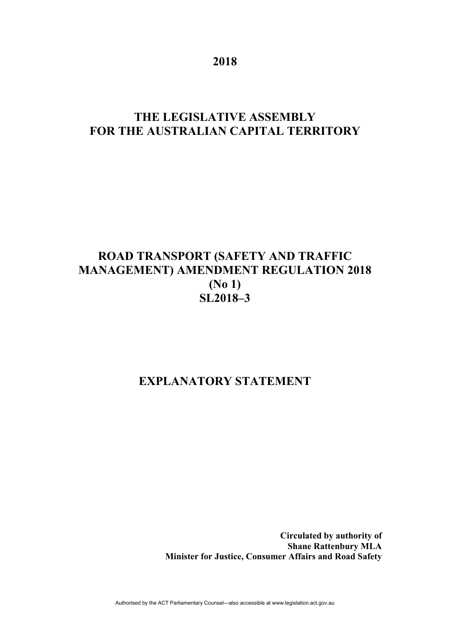**2018** 

# **THE LEGISLATIVE ASSEMBLY FOR THE AUSTRALIAN CAPITAL TERRITORY**

# **ROAD TRANSPORT (SAFETY AND TRAFFIC MANAGEMENT) AMENDMENT REGULATION 2018 (No 1) SL2018–3**

## **EXPLANATORY STATEMENT**

**Circulated by authority of Shane Rattenbury MLA Minister for Justice, Consumer Affairs and Road Safety**

Authorised by the ACT Parliamentary Counsel—also accessible at www.legislation.act.gov.au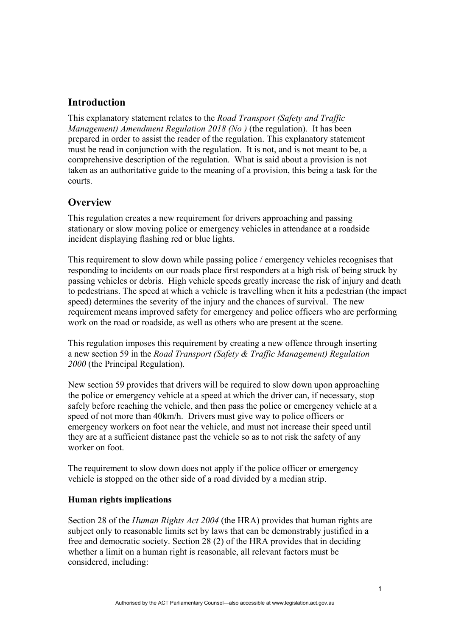### **Introduction**

This explanatory statement relates to the *Road Transport (Safety and Traffic Management) Amendment Regulation 2018 (No)* (the regulation). It has been prepared in order to assist the reader of the regulation. This explanatory statement must be read in conjunction with the regulation. It is not, and is not meant to be, a comprehensive description of the regulation. What is said about a provision is not taken as an authoritative guide to the meaning of a provision, this being a task for the courts.

#### **Overview**

This regulation creates a new requirement for drivers approaching and passing stationary or slow moving police or emergency vehicles in attendance at a roadside incident displaying flashing red or blue lights.

This requirement to slow down while passing police / emergency vehicles recognises that responding to incidents on our roads place first responders at a high risk of being struck by passing vehicles or debris. High vehicle speeds greatly increase the risk of injury and death to pedestrians. The speed at which a vehicle is travelling when it hits a pedestrian (the impact speed) determines the severity of the injury and the chances of survival. The new requirement means improved safety for emergency and police officers who are performing work on the road or roadside, as well as others who are present at the scene.

This regulation imposes this requirement by creating a new offence through inserting a new section 59 in the *Road Transport (Safety & Traffic Management) Regulation 2000* (the Principal Regulation).

New section 59 provides that drivers will be required to slow down upon approaching the police or emergency vehicle at a speed at which the driver can, if necessary, stop safely before reaching the vehicle, and then pass the police or emergency vehicle at a speed of not more than 40km/h. Drivers must give way to police officers or emergency workers on foot near the vehicle, and must not increase their speed until they are at a sufficient distance past the vehicle so as to not risk the safety of any worker on foot.

The requirement to slow down does not apply if the police officer or emergency vehicle is stopped on the other side of a road divided by a median strip.

#### **Human rights implications**

Section 28 of the *Human Rights Act 2004* (the HRA) provides that human rights are subject only to reasonable limits set by laws that can be demonstrably justified in a free and democratic society. Section 28 (2) of the HRA provides that in deciding whether a limit on a human right is reasonable, all relevant factors must be considered, including: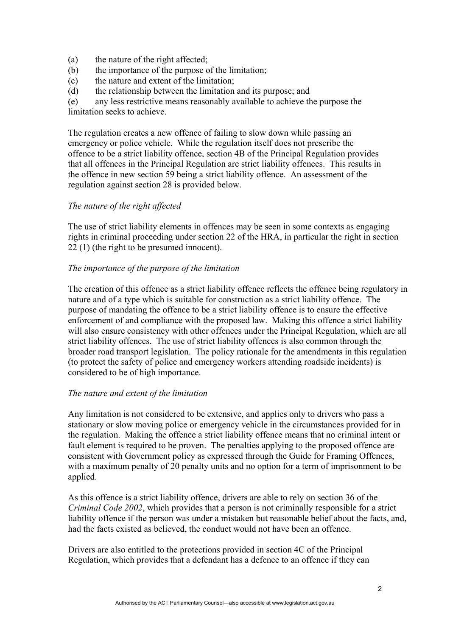- (a) the nature of the right affected;
- (b) the importance of the purpose of the limitation;
- (c) the nature and extent of the limitation;
- (d) the relationship between the limitation and its purpose; and

(e) any less restrictive means reasonably available to achieve the purpose the limitation seeks to achieve.

The regulation creates a new offence of failing to slow down while passing an emergency or police vehicle. While the regulation itself does not prescribe the offence to be a strict liability offence, section 4B of the Principal Regulation provides that all offences in the Principal Regulation are strict liability offences. This results in the offence in new section 59 being a strict liability offence. An assessment of the regulation against section 28 is provided below.

#### *The nature of the right affected*

The use of strict liability elements in offences may be seen in some contexts as engaging rights in criminal proceeding under section 22 of the HRA, in particular the right in section 22 (1) (the right to be presumed innocent).

#### *The importance of the purpose of the limitation*

The creation of this offence as a strict liability offence reflects the offence being regulatory in nature and of a type which is suitable for construction as a strict liability offence. The purpose of mandating the offence to be a strict liability offence is to ensure the effective enforcement of and compliance with the proposed law. Making this offence a strict liability will also ensure consistency with other offences under the Principal Regulation, which are all strict liability offences. The use of strict liability offences is also common through the broader road transport legislation. The policy rationale for the amendments in this regulation (to protect the safety of police and emergency workers attending roadside incidents) is considered to be of high importance.

#### *The nature and extent of the limitation*

Any limitation is not considered to be extensive, and applies only to drivers who pass a stationary or slow moving police or emergency vehicle in the circumstances provided for in the regulation. Making the offence a strict liability offence means that no criminal intent or fault element is required to be proven. The penalties applying to the proposed offence are consistent with Government policy as expressed through the Guide for Framing Offences, with a maximum penalty of 20 penalty units and no option for a term of imprisonment to be applied.

As this offence is a strict liability offence, drivers are able to rely on section 36 of the *Criminal Code 2002*, which provides that a person is not criminally responsible for a strict liability offence if the person was under a mistaken but reasonable belief about the facts, and, had the facts existed as believed, the conduct would not have been an offence.

Drivers are also entitled to the protections provided in section 4C of the Principal Regulation, which provides that a defendant has a defence to an offence if they can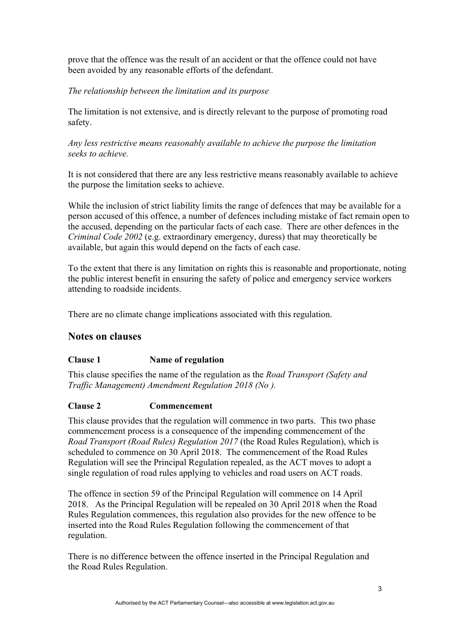prove that the offence was the result of an accident or that the offence could not have been avoided by any reasonable efforts of the defendant.

#### *The relationship between the limitation and its purpose*

The limitation is not extensive, and is directly relevant to the purpose of promoting road safety.

*Any less restrictive means reasonably available to achieve the purpose the limitation seeks to achieve.* 

It is not considered that there are any less restrictive means reasonably available to achieve the purpose the limitation seeks to achieve.

While the inclusion of strict liability limits the range of defences that may be available for a person accused of this offence, a number of defences including mistake of fact remain open to the accused, depending on the particular facts of each case. There are other defences in the *Criminal Code 2002* (e.g. extraordinary emergency, duress) that may theoretically be available, but again this would depend on the facts of each case.

To the extent that there is any limitation on rights this is reasonable and proportionate, noting the public interest benefit in ensuring the safety of police and emergency service workers attending to roadside incidents.

There are no climate change implications associated with this regulation.

#### **Notes on clauses**

#### **Clause 1 Name of regulation**

This clause specifies the name of the regulation as the *Road Transport (Safety and Traffic Management) Amendment Regulation 2018 (No ).* 

#### **Clause 2 Commencement**

This clause provides that the regulation will commence in two parts. This two phase commencement process is a consequence of the impending commencement of the *Road Transport (Road Rules) Regulation 2017* (the Road Rules Regulation), which is scheduled to commence on 30 April 2018. The commencement of the Road Rules Regulation will see the Principal Regulation repealed, as the ACT moves to adopt a single regulation of road rules applying to vehicles and road users on ACT roads.

The offence in section 59 of the Principal Regulation will commence on 14 April 2018. As the Principal Regulation will be repealed on 30 April 2018 when the Road Rules Regulation commences, this regulation also provides for the new offence to be inserted into the Road Rules Regulation following the commencement of that regulation.

There is no difference between the offence inserted in the Principal Regulation and the Road Rules Regulation.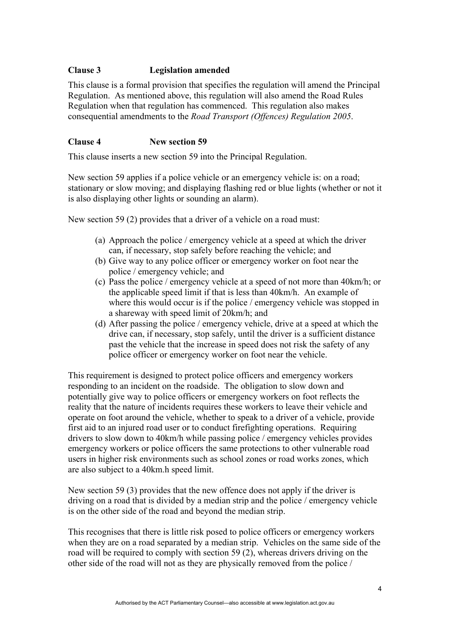#### **Clause 3 Legislation amended**

This clause is a formal provision that specifies the regulation will amend the Principal Regulation. As mentioned above, this regulation will also amend the Road Rules Regulation when that regulation has commenced. This regulation also makes consequential amendments to the *Road Transport (Offences) Regulation 2005*.

#### **Clause 4 New section 59**

This clause inserts a new section 59 into the Principal Regulation.

New section 59 applies if a police vehicle or an emergency vehicle is: on a road; stationary or slow moving; and displaying flashing red or blue lights (whether or not it is also displaying other lights or sounding an alarm).

New section 59 (2) provides that a driver of a vehicle on a road must:

- (a) Approach the police / emergency vehicle at a speed at which the driver can, if necessary, stop safely before reaching the vehicle; and
- (b) Give way to any police officer or emergency worker on foot near the police / emergency vehicle; and
- (c) Pass the police / emergency vehicle at a speed of not more than 40km/h; or the applicable speed limit if that is less than 40km/h. An example of where this would occur is if the police / emergency vehicle was stopped in a shareway with speed limit of 20km/h; and
- (d) After passing the police / emergency vehicle, drive at a speed at which the drive can, if necessary, stop safely, until the driver is a sufficient distance past the vehicle that the increase in speed does not risk the safety of any police officer or emergency worker on foot near the vehicle.

This requirement is designed to protect police officers and emergency workers responding to an incident on the roadside. The obligation to slow down and potentially give way to police officers or emergency workers on foot reflects the reality that the nature of incidents requires these workers to leave their vehicle and operate on foot around the vehicle, whether to speak to a driver of a vehicle, provide first aid to an injured road user or to conduct firefighting operations. Requiring drivers to slow down to 40km/h while passing police / emergency vehicles provides emergency workers or police officers the same protections to other vulnerable road users in higher risk environments such as school zones or road works zones, which are also subject to a 40km.h speed limit.

New section 59 (3) provides that the new offence does not apply if the driver is driving on a road that is divided by a median strip and the police / emergency vehicle is on the other side of the road and beyond the median strip.

This recognises that there is little risk posed to police officers or emergency workers when they are on a road separated by a median strip. Vehicles on the same side of the road will be required to comply with section 59 (2), whereas drivers driving on the other side of the road will not as they are physically removed from the police /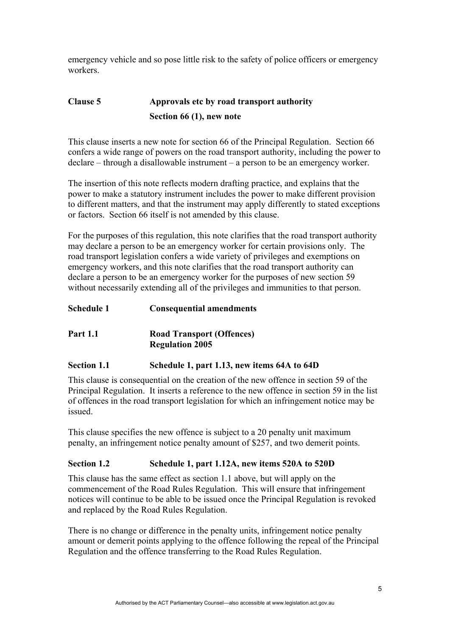emergency vehicle and so pose little risk to the safety of police officers or emergency workers.

### **Clause 5 Approvals etc by road transport authority Section 66 (1), new note**

This clause inserts a new note for section 66 of the Principal Regulation. Section 66 confers a wide range of powers on the road transport authority, including the power to declare – through a disallowable instrument – a person to be an emergency worker.

The insertion of this note reflects modern drafting practice, and explains that the power to make a statutory instrument includes the power to make different provision to different matters, and that the instrument may apply differently to stated exceptions or factors. Section 66 itself is not amended by this clause.

For the purposes of this regulation, this note clarifies that the road transport authority may declare a person to be an emergency worker for certain provisions only. The road transport legislation confers a wide variety of privileges and exemptions on emergency workers, and this note clarifies that the road transport authority can declare a person to be an emergency worker for the purposes of new section 59 without necessarily extending all of the privileges and immunities to that person.

### **Schedule 1 Consequential amendments**

#### **Part 1.1 Road Transport (Offences) Regulation 2005**

#### **Section 1.1 Schedule 1, part 1.13, new items 64A to 64D**

This clause is consequential on the creation of the new offence in section 59 of the Principal Regulation. It inserts a reference to the new offence in section 59 in the list of offences in the road transport legislation for which an infringement notice may be issued.

This clause specifies the new offence is subject to a 20 penalty unit maximum penalty, an infringement notice penalty amount of \$257, and two demerit points.

#### **Section 1.2 Schedule 1, part 1.12A, new items 520A to 520D**

This clause has the same effect as section 1.1 above, but will apply on the commencement of the Road Rules Regulation. This will ensure that infringement notices will continue to be able to be issued once the Principal Regulation is revoked and replaced by the Road Rules Regulation.

There is no change or difference in the penalty units, infringement notice penalty amount or demerit points applying to the offence following the repeal of the Principal Regulation and the offence transferring to the Road Rules Regulation.